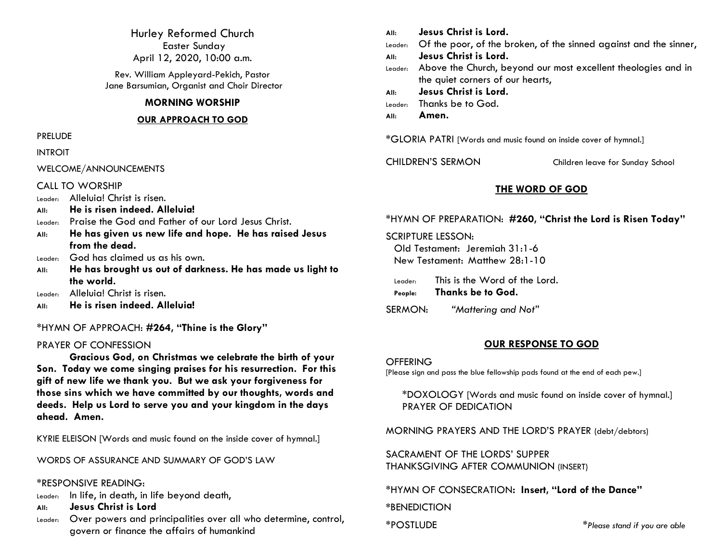Hurley Reformed Church Easter Sunday April 12, 2020, 10:00 a.m.

Rev. William Appleyard-Pekich, Pastor Jane Barsumian, Organist and Choir Director

## **MORNING WORSHIP**

## **OUR APPROACH TO GOD**

PRELUDE

INTROIT

WELCOME/ANNOUNCEMENTS

# CALL TO WORSHIP

Leader: Alleluia! Christ is risen.

- **All: He is risen indeed. Alleluia!**
- Leader: Praise the God and Father of our Lord Jesus Christ.
- **All: He has given us new life and hope. He has raised Jesus from the dead.**
- Leader: God has claimed us as his own.
- **All: He has brought us out of darkness. He has made us light to the world.**
- Leader: Alleluia! Christ is risen.
- **All: He is risen indeed. Alleluia!**

\*HYMN OF APPROACH: **#264, "Thine is the Glory"**

# PRAYER OF CONFESSION

**Gracious God, on Christmas we celebrate the birth of your Son. Today we come singing praises for his resurrection. For this gift of new life we thank you. But we ask your forgiveness for those sins which we have committed by our thoughts, words and deeds. Help us Lord to serve you and your kingdom in the days ahead. Amen.**

KYRIE ELEISON [Words and music found on the inside cover of hymnal.]

WORDS OF ASSURANCE AND SUMMARY OF GOD'S LAW

# \*RESPONSIVE READING:

Leader: In life, in death, in life beyond death,

- **All: Jesus Christ is Lord**
- Leader: Over powers and principalities over all who determine, control, govern or finance the affairs of humankind
- **All: Jesus Christ is Lord.**
- Leader: Of the poor, of the broken, of the sinned against and the sinner,
- **All: Jesus Christ is Lord.**

Leader: Above the Church, beyond our most excellent theologies and in the quiet corners of our hearts,

- **All: Jesus Christ is Lord.**
- Leader: Thanks be to God.
- **All: Amen.**

\*GLORIA PATRI [Words and music found on inside cover of hymnal.]

CHILDREN'S SERMON Children leave for Sunday School

# **THE WORD OF GOD**

\*HYMN OF PREPARATION: **#260, "Christ the Lord is Risen Today"**

SCRIPTURE LESSON:

Old Testament: Jeremiah 31:1-6 New Testament: Matthew 28:1-10

Leader: This is the Word of the Lord. **People: Thanks be to God.**

SERMON: *"Mattering and Not"*

# **OUR RESPONSE TO GOD**

## **OFFERING**

[Please sign and pass the blue fellowship pads found at the end of each pew.]

\*DOXOLOGY [Words and music found on inside cover of hymnal.] PRAYER OF DEDICATION

MORNING PRAYERS AND THE LORD'S PRAYER (debt/debtors)

SACRAMENT OF THE LORDS' SUPPER THANKSGIVING AFTER COMMUNION (INSERT)

\*HYMN OF CONSECRATION**: Insert, "Lord of the Dance"**

**\***BENEDICTION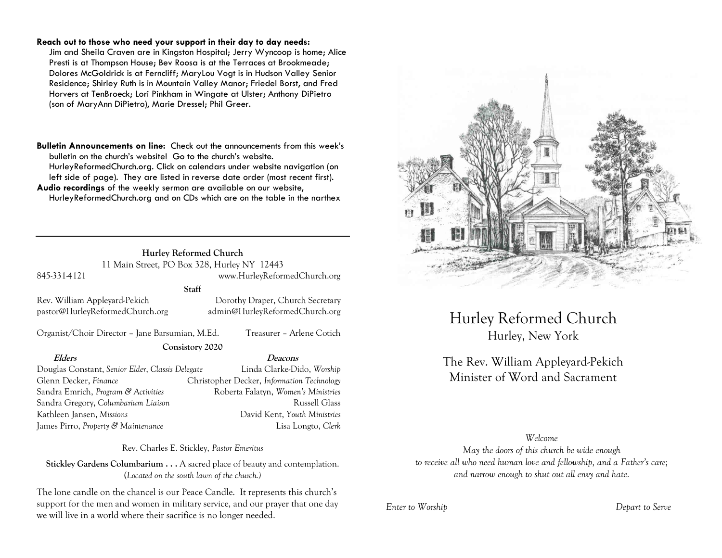#### **Reach out to those who need your support in their day to day needs:**

Jim and Sheila Craven are in Kingston Hospital; Jerry Wyncoop is home; Alice Presti is at Thompson House; Bev Roosa is at the Terraces at Brookmeade; Dolores McGoldrick is at Ferncliff; MaryLou Vogt is in Hudson Valley Senior Residence; Shirley Ruth is in Mountain Valley Manor; Friedel Borst, and Fred Horvers at TenBroeck; Lori Pinkham in Wingate at Ulster; Anthony DiPietro (son of MaryAnn DiPietro), Marie Dressel; Phil Greer.

**Bulletin Announcements on line:** Check out the announcements from this week's bulletin on the church's website! Go to the church's website. HurleyReformedChurch.org. Click on calendars under website navigation (on left side of page). They are listed in reverse date order (most recent first). **Audio recordings** of the weekly sermon are available on our website, HurleyReformedChurch.org and on CDs which are on the table in the narthex

### **Hurley Reformed Church** 11 Main Street, PO Box 328, Hurley NY 12443

845-331-4121 www.HurleyReformedChurch.org

**Staff**

Rev. William Appleyard-Pekich Dorothy Draper, Church Secretary pastor@HurleyReformedChurch.org admin@HurleyReformedChurch.org

Organist/Choir Director – Jane Barsumian, M.Ed. Treasurer – Arlene Cotich

**Consistory 2020**

Douglas Constant, *Senior Elder*, *Classis Delegate* Linda Clarke-Dido, *Worship* Glenn Decker, *Finance* Christopher Decker, *Information Technology* Sandra Emrich, *Program & Activities* Roberta Falatyn, *Women's Ministries* Sandra Gregory, *Columbarium Liaison* **Russell Glass** Russell Glass Kathleen Jansen, *Missions* David Kent, *Youth Ministries*

#### **Elders Deacons**

James Pirro, *Property & Maintenance* Lisa Longto, *Clerk*

Rev. Charles E. Stickley, *Pastor Emeritus*

**Stickley Gardens Columbarium . . .** A sacred place of beauty and contemplation. (*Located on the south lawn of the church.)* 

The lone candle on the chancel is our Peace Candle. It represents this church's support for the men and women in military service, and our prayer that one day we will live in a world where their sacrifice is no longer needed.



Hurley Reformed Church Hurley, New York

# The Rev. William Appleyard-Pekich Minister of Word and Sacrament

### *Welcome*

*May the doors of this church be wide enough to receive all who need human love and fellowship, and a Father's care; and narrow enough to shut out all envy and hate.*

*Enter to Worship Depart to Serve*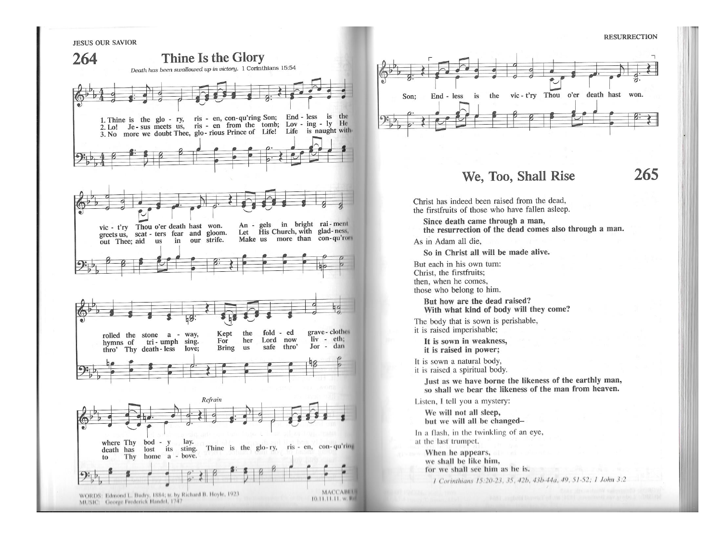265





# We, Too, Shall Rise

Christ has indeed been raised from the dead, the firstfruits of those who have fallen asleep.

Since death came through a man,

the resurrection of the dead comes also through a man.

As in Adam all die,

So in Christ all will be made alive.

But each in his own turn: Christ, the firstfruits; then, when he comes, those who belong to him.

But how are the dead raised? With what kind of body will they come?

The body that is sown is perishable, it is raised imperishable;

It is sown in weakness, it is raised in power;

It is sown a natural body,

it is raised a spiritual body.

Just as we have borne the likeness of the earthly man, so shall we bear the likeness of the man from heaven.

Listen, I tell you a mystery:

We will not all sleep, but we will all be changed-

In a flash, in the twinkling of an eye, at the last trumpet.

When he appears, we shall be like him, for we shall see him as he is.

1 Corinthians 15:20-23, 35, 42b, 43b-44a, 49, 51-52; 1 John 3:2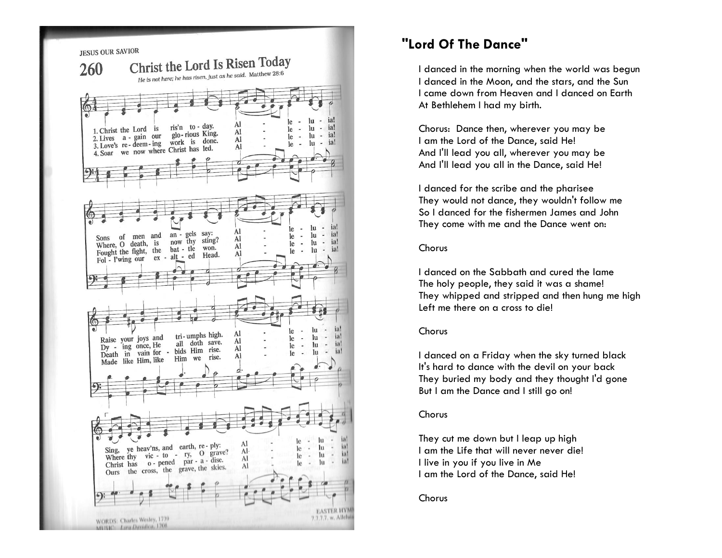

# **"Lord Of The Dance"**

I danced in the morning when the world was begun I danced in the Moon, and the stars, and the Sun I came down from Heaven and I danced on Earth At Bethlehem I had my birth.

Chorus: Dance then, wherever you may be I am the Lord of the Dance, said He! And I'll lead you all, wherever you may be And I'll lead you all in the Dance, said He!

I danced for the scribe and the pharisee They would not dance, they wouldn't follow me So I danced for the fishermen James and John They come with me and the Dance went on:

## Chorus

I danced on the Sabbath and cured the lame The holy people, they said it was a shame! They whipped and stripped and then hung me high Left me there on a cross to die!

# **Chorus**

I danced on a Friday when the sky turned black It's hard to dance with the devil on your back They buried my body and they thought I'd gone But I am the Dance and I still go on!

# **Chorus**

They cut me down but I leap up high I am the Life that will never never die! I live in you if you live in Me I am the Lord of the Dance, said He!

# **Chorus**